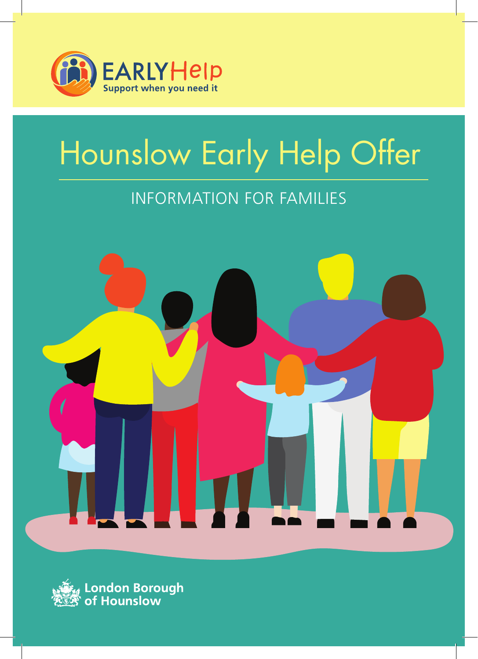

# Hounslow Early Help Offer

## Information for families



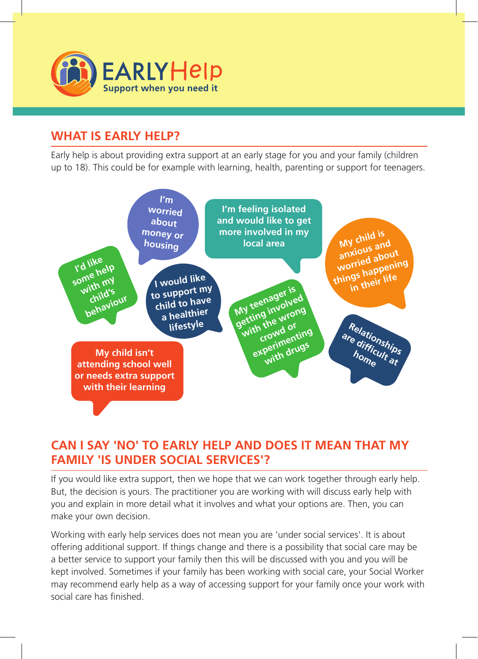

### **What is early help?**

Early help is about providing extra support at an early stage for you and your family (children up to 18). This could be for example with learning, health, parenting or support for teenagers.



### **Can I say 'no' to early help and does it mean that my family 'is under social services'?**

If you would like extra support, then we hope that we can work together through early help. But, the decision is yours. The practitioner you are working with will discuss early help with you and explain in more detail what it involves and what your options are. Then, you can make your own decision.

Working with early help services does not mean you are 'under social services'. It is about offering additional support. If things change and there is a possibility that social care may be a better service to support your family then this will be discussed with you and you will be kept involved. Sometimes if your family has been working with social care, your Social Worker may recommend early help as a way of accessing support for your family once your work with social care has finished.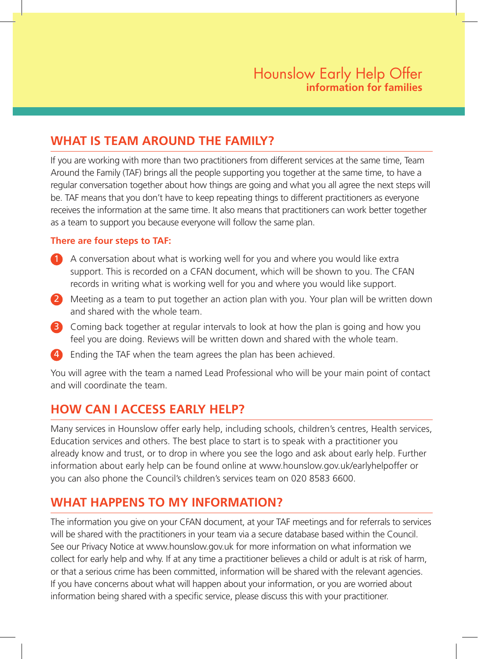#### **What is Team Around the Family?**

If you are working with more than two practitioners from different services at the same time, Team Around the Family (TAF) brings all the people supporting you together at the same time, to have a regular conversation together about how things are going and what you all agree the next steps will be. TAF means that you don't have to keep repeating things to different practitioners as everyone receives the information at the same time. It also means that practitioners can work better together as a team to support you because everyone will follow the same plan.

#### **There are four steps to TAF:**

- 1 A conversation about what is working well for you and where you would like extra support. This is recorded on a CFAN document, which will be shown to you. The CFAN records in writing what is working well for you and where you would like support.
- 2 Meeting as a team to put together an action plan with you. Your plan will be written down and shared with the whole team.
- 3 Coming back together at regular intervals to look at how the plan is going and how you feel you are doing. Reviews will be written down and shared with the whole team.
- Ending the TAF when the team agrees the plan has been achieved.

You will agree with the team a named Lead Professional who will be your main point of contact and will coordinate the team.

### **How can I access early help?**

Many services in Hounslow offer early help, including schools, children's centres, Health services, Education services and others. The best place to start is to speak with a practitioner you already know and trust, or to drop in where you see the logo and ask about early help. Further information about early help can be found online at www.hounslow.gov.uk/earlyhelpoffer or you can also phone the Council's children's services team on 020 8583 6600.

#### **What happens to my information?**

The information you give on your CFAN document, at your TAF meetings and for referrals to services will be shared with the practitioners in your team via a secure database based within the Council. See our Privacy Notice at www.hounslow.gov.uk for more information on what information we collect for early help and why. If at any time a practitioner believes a child or adult is at risk of harm, or that a serious crime has been committed, information will be shared with the relevant agencies. If you have concerns about what will happen about your information, or you are worried about information being shared with a specific service, please discuss this with your practitioner.